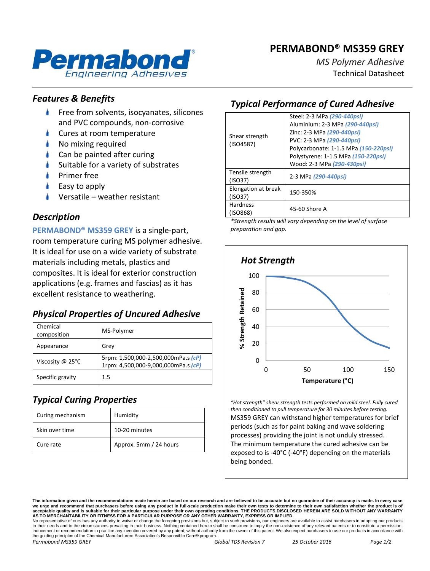# **PERMABOND® MS359 GREY**



*MS Polymer Adhesive* Technical Datasheet

### *Features & Benefits*

- Free from solvents, isocyanates, silicones and PVC compounds, non-corrosive
- Cures at room temperature
- No mixing required
- Can be painted after curing
- Suitable for a variety of substrates
- Primer free
- Easy to apply
- Versatile weather resistant

### *Description*

**PERMABOND® MS359 GREY** is a single-part, room temperature curing MS polymer adhesive. It is ideal for use on a wide variety of substrate materials including metals, plastics and composites. It is ideal for exterior construction applications (e.g. frames and fascias) as it has excellent resistance to weathering.

## *Physical Properties of Uncured Adhesive*

| Chemical<br>composition    | MS-Polymer                                                                 |
|----------------------------|----------------------------------------------------------------------------|
| Appearance                 | Grey                                                                       |
| Viscosity @ $25^{\circ}$ C | 5rpm: 1,500,000-2,500,000mPa.s (cP)<br>1rpm: 4,500,000-9,000,000mPa.s (cP) |
| Specific gravity           | $1.5\,$                                                                    |

# *Typical Curing Properties*

| Curing mechanism | Humidity               |
|------------------|------------------------|
| Skin over time   | 10-20 minutes          |
| Cure rate        | Approx. 5mm / 24 hours |

## *Typical Performance of Cured Adhesive*

| Shear strength<br>(ISO4587)    | Steel: 2-3 MPa (290-440psi)<br>Aluminium: 2-3 MPa (290-440psi)<br>Zinc: 2-3 MPa (290-440psi)<br>PVC: 2-3 MPa (290-440psi)<br>Polycarbonate: 1-1.5 MPa (150-220psi)<br>Polystyrene: 1-1.5 MPa (150-220psi)<br>Wood: 2-3 MPa (290-430psi) |
|--------------------------------|-----------------------------------------------------------------------------------------------------------------------------------------------------------------------------------------------------------------------------------------|
| Tensile strength<br>(ISO37)    | 2-3 MPa (290-440psi)                                                                                                                                                                                                                    |
| Elongation at break<br>(ISO37) | 150-350%                                                                                                                                                                                                                                |
| <b>Hardness</b><br>(ISO868)    | 45-60 Shore A                                                                                                                                                                                                                           |

*\*Strength results will vary depending on the level of surface preparation and gap.*



*"Hot strength" shear strength tests performed on mild steel. Fully cured then conditioned to pull temperature for 30 minutes before testing.* MS359 GREY can withstand higher temperatures for brief periods (such as for paint baking and wave soldering processes) providing the joint is not unduly stressed. The minimum temperature the cured adhesive can be

exposed to is -40°C (-40°F) depending on the materials being bonded.

*Permabond MS359 GREY Global TDS Revision 7 25 October 2016 Page 1/2*

**The information given and the recommendations made herein are based on our research and are believed to be accurate but no guarantee of their accuracy is made. In every case**  we urge and recommend that purchasers before using any product in full-scale production make their own tests to determine to their own satisfaction whether the produ acceptable quality and is suitable for their particular purpose under their own operating conditions. THE PRODUCTS DISCLOSED HEREIN ARE SOLD WITHOUT ANY WARRANTY<br>AS TO MERCHANTABILITY OR FITNESS FOR A PARTICULAR PURPOSE OR

No representative of ours has any authority to waive or change the foregoing provisions but, subject to such provisions, our engineers are available to assist purchasers in adapting our products to their needs and to the circumstances prevailing in their business. Nothing contained herein shall be construed to imply the non-existence of any relevant patents or to constitute a permission,<br>inducement or recommendati the guiding principles of the Chemical Manufacturers Association's Responsible Care® program.